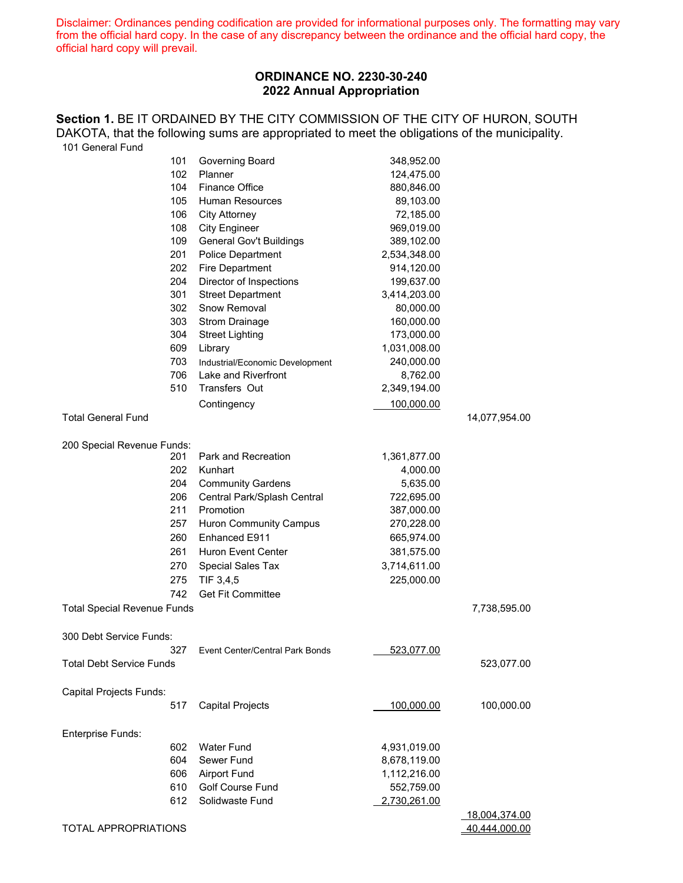Disclaimer: Ordinances pending codification are provided for informational purposes only. The formatting may vary from the official hard copy. In the case of any discrepancy between the ordinance and the official hard copy, the official hard copy will prevail.

# **ORDINANCE NO. 2230-30-240 2022 Annual Appropriation**

Section 1. BE IT ORDAINED BY THE CITY COMMISSION OF THE CITY OF HURON, SOUTH DAKOTA, that the following sums are appropriated to meet the obligations of the municipality. 101 General Fund

| 101                                | Governing Board                 | 348,952.00        |               |
|------------------------------------|---------------------------------|-------------------|---------------|
| 102                                | Planner                         | 124,475.00        |               |
| 104                                | <b>Finance Office</b>           | 880,846.00        |               |
| 105                                | <b>Human Resources</b>          | 89,103.00         |               |
| 106                                | <b>City Attorney</b>            | 72,185.00         |               |
| 108                                | <b>City Engineer</b>            | 969,019.00        |               |
| 109                                | General Gov't Buildings         | 389,102.00        |               |
| 201                                | <b>Police Department</b>        | 2,534,348.00      |               |
| 202                                | Fire Department                 | 914,120.00        |               |
| 204                                | Director of Inspections         | 199,637.00        |               |
| 301                                | <b>Street Department</b>        | 3,414,203.00      |               |
| 302                                | Snow Removal                    | 80,000.00         |               |
| 303                                | <b>Strom Drainage</b>           | 160,000.00        |               |
| 304                                | <b>Street Lighting</b>          | 173,000.00        |               |
| 609                                | Library                         | 1,031,008.00      |               |
| 703                                | Industrial/Economic Development | 240,000.00        |               |
| 706                                | Lake and Riverfront             | 8,762.00          |               |
| 510                                | Transfers Out                   | 2,349,194.00      |               |
|                                    | Contingency                     | 100,000.00        |               |
| <b>Total General Fund</b>          |                                 |                   | 14,077,954.00 |
|                                    |                                 |                   |               |
| 200 Special Revenue Funds:         |                                 |                   |               |
| 201                                | Park and Recreation             | 1,361,877.00      |               |
| 202                                | Kunhart                         | 4,000.00          |               |
| 204                                | <b>Community Gardens</b>        | 5,635.00          |               |
| 206                                | Central Park/Splash Central     | 722,695.00        |               |
| 211                                | Promotion                       | 387,000.00        |               |
| 257                                | <b>Huron Community Campus</b>   | 270,228.00        |               |
| 260                                | Enhanced E911                   | 665,974.00        |               |
| 261                                | Huron Event Center              | 381,575.00        |               |
| 270                                | Special Sales Tax               | 3,714,611.00      |               |
| 275                                |                                 |                   |               |
|                                    | TIF 3,4,5                       | 225,000.00        |               |
| 742                                | <b>Get Fit Committee</b>        |                   |               |
| <b>Total Special Revenue Funds</b> |                                 |                   | 7,738,595.00  |
|                                    |                                 |                   |               |
| 300 Debt Service Funds:            |                                 |                   |               |
| 327                                | Event Center/Central Park Bonds | <u>523,077.00</u> |               |
| <b>Total Debt Service Funds</b>    |                                 |                   | 523,077.00    |
|                                    |                                 |                   |               |
| Capital Projects Funds:            |                                 |                   |               |
| 517                                | <b>Capital Projects</b>         | 100,000.00        | 100,000.00    |
|                                    |                                 |                   |               |
| Enterprise Funds:                  |                                 |                   |               |
| 602                                | <b>Water Fund</b>               | 4,931,019.00      |               |
| 604                                | Sewer Fund                      | 8,678,119.00      |               |
| 606                                | <b>Airport Fund</b>             | 1,112,216.00      |               |
| 610                                | <b>Golf Course Fund</b>         | 552,759.00        |               |
| 612                                | Solidwaste Fund                 | 2,730,261.00      |               |
|                                    |                                 |                   | 18,004,374.00 |
| TOTAL APPROPRIATIONS               |                                 |                   | 40,444,000.00 |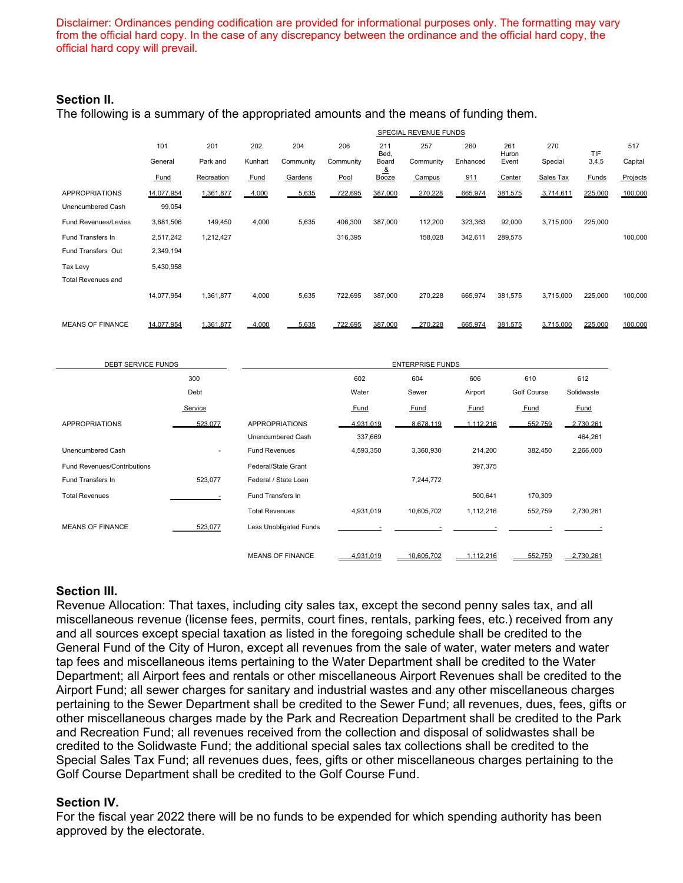Disclaimer: Ordinances pending codification are provided for informational purposes only. The formatting may vary from the official hard copy. In the case of any discrepancy between the ordinance and the official hard copy, the official hard copy will prevail.

### **Section II.**

The following is a summary of the appropriated amounts and the means of funding them.

|                             | SPECIAL REVENUE FUNDS |            |          |           |           |                       |           |          |              |           |         |          |
|-----------------------------|-----------------------|------------|----------|-----------|-----------|-----------------------|-----------|----------|--------------|-----------|---------|----------|
|                             | 101                   | 201        | 202      | 204       | 206       | 211<br>Bed,           | 257       | 260      | 261<br>Huron | 270       | TIF     | 517      |
|                             | General               | Park and   | Kunhart  | Community | Community | Board                 | Community | Enhanced | Event        | Special   | 3,4,5   | Capital  |
|                             | Fund                  | Recreation | Fund     | Gardens   | Pool      | <u>&amp;</u><br>Booze | Campus    | 911      | Center       | Sales Tax | Funds   | Projects |
| <b>APPROPRIATIONS</b>       | 14,077,954            | 1,361,877  | 4,000    | 5,635     | 722,695   | 387,000               | 270,228   | 665,974  | 381,575      | 3,714,611 | 225,000 | 100,000  |
| Unencumbered Cash           | 99,054                |            |          |           |           |                       |           |          |              |           |         |          |
| <b>Fund Revenues/Levies</b> | 3,681,506             | 149,450    | 4,000    | 5,635     | 406,300   | 387,000               | 112,200   | 323,363  | 92,000       | 3,715,000 | 225,000 |          |
| <b>Fund Transfers In</b>    | 2,517,242             | 1,212,427  |          |           | 316,395   |                       | 158,028   | 342,611  | 289,575      |           |         | 100,000  |
| Fund Transfers Out          | 2,349,194             |            |          |           |           |                       |           |          |              |           |         |          |
| Tax Levy                    | 5,430,958             |            |          |           |           |                       |           |          |              |           |         |          |
| <b>Total Revenues and</b>   |                       |            |          |           |           |                       |           |          |              |           |         |          |
|                             | 14,077,954            | 1,361,877  | 4,000    | 5,635     | 722,695   | 387,000               | 270,228   | 665,974  | 381,575      | 3,715,000 | 225,000 | 100,000  |
|                             |                       |            |          |           |           |                       |           |          |              |           |         |          |
| <b>MEANS OF FINANCE</b>     | 14.077.954            | 1.361.877  | $-4,000$ | 5.635     | 722,695   | 387,000               | 270.228   | 665,974  | 381,575      | 3.715.000 | 225,000 | 100,000  |

| <b>DEBT SERVICE FUNDS</b>          |         | <b>ENTERPRISE FUNDS</b>       |           |             |           |                    |             |  |
|------------------------------------|---------|-------------------------------|-----------|-------------|-----------|--------------------|-------------|--|
|                                    | 300     |                               | 602       | 604         | 606       | 610                | 612         |  |
|                                    | Debt    |                               | Water     | Sewer       | Airport   | <b>Golf Course</b> | Solidwaste  |  |
|                                    | Service |                               | Fund      | <b>Fund</b> | Fund      | Fund               | <b>Fund</b> |  |
| <b>APPROPRIATIONS</b>              | 523,077 | <b>APPROPRIATIONS</b>         | 4,931,019 | 8,678,119   | 1,112,216 | 552,759            | 2,730,261   |  |
|                                    |         | Unencumbered Cash             | 337,669   |             |           |                    | 464,261     |  |
| Unencumbered Cash                  | $\sim$  | <b>Fund Revenues</b>          | 4,593,350 | 3,360,930   | 214,200   | 382,450            | 2,266,000   |  |
| <b>Fund Revenues/Contributions</b> |         | Federal/State Grant           |           |             | 397,375   |                    |             |  |
| Fund Transfers In                  | 523,077 | Federal / State Loan          |           | 7,244,772   |           |                    |             |  |
| <b>Total Revenues</b>              |         | Fund Transfers In             |           |             | 500,641   | 170,309            |             |  |
|                                    |         | <b>Total Revenues</b>         | 4,931,019 | 10,605,702  | 1,112,216 | 552,759            | 2,730,261   |  |
| <b>MEANS OF FINANCE</b>            | 523.077 | <b>Less Unobligated Funds</b> |           |             |           |                    |             |  |
|                                    |         | <b>MEANS OF FINANCE</b>       | 4,931,019 | 10,605,702  | 1,112,216 | 552,759            | 2,730,261   |  |

#### **Section III.**

Revenue Allocation: That taxes, including city sales tax, except the second penny sales tax, and all miscellaneous revenue (license fees, permits, court fines, rentals, parking fees, etc.) received from any and all sources except special taxation as listed in the foregoing schedule shall be credited to the General Fund of the City of Huron, except all revenues from the sale of water, water meters and water tap fees and miscellaneous items pertaining to the Water Department shall be credited to the Water Department; all Airport fees and rentals or other miscellaneous Airport Revenues shall be credited to the Airport Fund; all sewer charges for sanitary and industrial wastes and any other miscellaneous charges pertaining to the Sewer Department shall be credited to the Sewer Fund; all revenues, dues, fees, gifts or other miscellaneous charges made by the Park and Recreation Department shall be credited to the Park and Recreation Fund; all revenues received from the collection and disposal of solidwastes shall be credited to the Solidwaste Fund; the additional special sales tax collections shall be credited to the Special Sales Tax Fund; all revenues dues, fees, gifts or other miscellaneous charges pertaining to the Golf Course Department shall be credited to the Golf Course Fund.

#### **Section IV.**

For the fiscal year 2022 there will be no funds to be expended for which spending authority has been approved by the electorate.